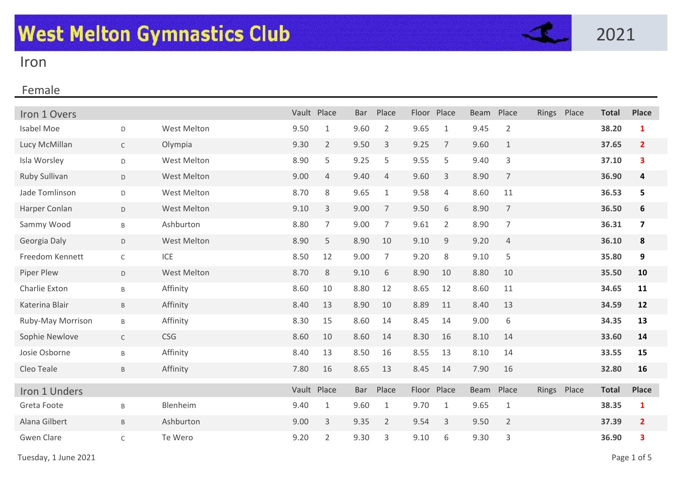

# Iron

| Iron 1 Overs      |              |             | Vault Place |                | <b>Bar</b> | Place          | Floor | Place          | <b>Beam</b> | Place          | Rings | Place | <b>Total</b> | <b>Place</b>     |
|-------------------|--------------|-------------|-------------|----------------|------------|----------------|-------|----------------|-------------|----------------|-------|-------|--------------|------------------|
| <b>Isabel Moe</b> | D            | West Melton | 9.50        | $\mathbf{1}$   | 9.60       | $\overline{2}$ | 9.65  | $\mathbf{1}$   | 9.45        | $\overline{2}$ |       |       | 38.20        | $\mathbf{1}$     |
| Lucy McMillan     | $\mathsf{C}$ | Olympia     | 9.30        | $\overline{2}$ | 9.50       | 3              | 9.25  | $\overline{7}$ | 9.60        | $\mathbf{1}$   |       |       | 37.65        | $\overline{2}$   |
| Isla Worsley      | D            | West Melton | 8.90        | 5              | 9.25       | 5              | 9.55  | 5              | 9.40        | 3              |       |       | 37.10        | 3                |
| Ruby Sullivan     | D            | West Melton | 9.00        | $\overline{4}$ | 9.40       | $\overline{4}$ | 9.60  | 3              | 8.90        | $\overline{7}$ |       |       | 36.90        | 4                |
| Jade Tomlinson    | D            | West Melton | 8.70        | 8              | 9.65       | $\mathbf{1}$   | 9.58  | 4              | 8.60        | 11             |       |       | 36.53        | 5                |
| Harper Conlan     | D            | West Melton | 9.10        | 3              | 9.00       | $\overline{7}$ | 9.50  | 6              | 8.90        | $\overline{7}$ |       |       | 36.50        | $\boldsymbol{6}$ |
| Sammy Wood        | B            | Ashburton   | 8.80        | 7              | 9.00       | $\overline{7}$ | 9.61  | $\overline{2}$ | 8.90        | 7              |       |       | 36.31        | 7                |
| Georgia Daly      | D            | West Melton | 8.90        | 5              | 8.90       | 10             | 9.10  | 9              | 9.20        | $\overline{4}$ |       |       | 36.10        | 8                |
| Freedom Kennett   | $\mathsf{C}$ | ICE         | 8.50        | 12             | 9.00       | $\overline{7}$ | 9.20  | 8              | 9.10        | 5              |       |       | 35.80        | 9                |
| Piper Plew        | D            | West Melton | 8.70        | 8              | 9.10       | 6              | 8.90  | 10             | 8.80        | 10             |       |       | 35.50        | 10               |
| Charlie Exton     | B            | Affinity    | 8.60        | 10             | 8.80       | 12             | 8.65  | 12             | 8.60        | 11             |       |       | 34.65        | 11               |
| Katerina Blair    | $\mathsf B$  | Affinity    | 8.40        | 13             | 8.90       | 10             | 8.89  | 11             | 8.40        | 13             |       |       | 34.59        | 12               |
| Ruby-May Morrison | B            | Affinity    | 8.30        | 15             | 8.60       | 14             | 8.45  | 14             | 9.00        | 6              |       |       | 34.35        | 13               |
| Sophie Newlove    | $\mathsf{C}$ | CSG         | 8.60        | 10             | 8.60       | 14             | 8.30  | 16             | 8.10        | 14             |       |       | 33.60        | 14               |
| Josie Osborne     | B            | Affinity    | 8.40        | 13             | 8.50       | 16             | 8.55  | 13             | 8.10        | 14             |       |       | 33.55        | 15               |
| Cleo Teale        | B            | Affinity    | 7.80        | 16             | 8.65       | 13             | 8.45  | 14             | 7.90        | 16             |       |       | 32.80        | 16               |
| Iron 1 Unders     |              |             |             | Vault Place    | Bar        | Place          |       | Floor Place    | <b>Beam</b> | Place          | Rings | Place | <b>Total</b> | <b>Place</b>     |
| Greta Foote       | Β            | Blenheim    | 9.40        | $\mathbf{1}$   | 9.60       | $\mathbf{1}$   | 9.70  | 1              | 9.65        | $\mathbf{1}$   |       |       | 38.35        | $\mathbf{1}$     |
| Alana Gilbert     | B            | Ashburton   | 9.00        | 3              | 9.35       | $\overline{2}$ | 9.54  | 3              | 9.50        | $\overline{2}$ |       |       | 37.39        | $\overline{2}$   |
| <b>Gwen Clare</b> | $\mathsf C$  | Te Wero     | 9.20        | $\overline{2}$ | 9.30       | 3              | 9.10  | 6              | 9.30        | 3              |       |       | 36.90        | 3                |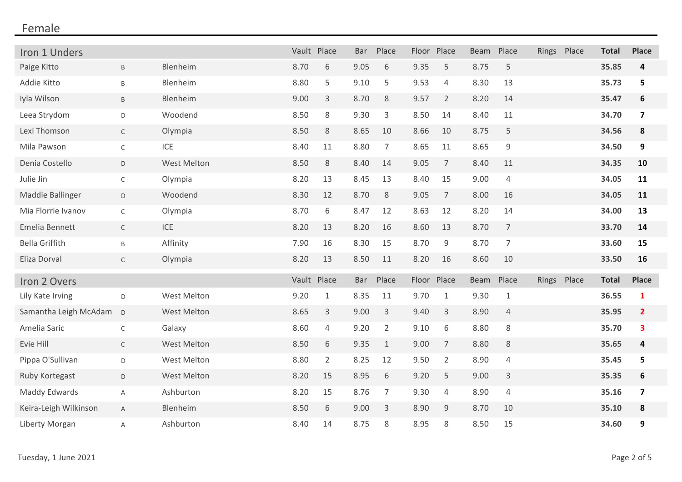| Iron 1 Unders         |              |                    | Vault Place |                | <b>Bar</b> | Place          |       | Floor Place    | Beam | Place          | Rings Place | <b>Total</b> | <b>Place</b>            |
|-----------------------|--------------|--------------------|-------------|----------------|------------|----------------|-------|----------------|------|----------------|-------------|--------------|-------------------------|
| Paige Kitto           | B            | Blenheim           | 8.70        | 6              | 9.05       | 6              | 9.35  | 5              | 8.75 | 5              |             | 35.85        | 4                       |
| Addie Kitto           | $\sf B$      | Blenheim           | 8.80        | 5              | 9.10       | 5              | 9.53  | $\overline{4}$ | 8.30 | 13             |             | 35.73        | 5                       |
| Iyla Wilson           | $\sf B$      | Blenheim           | 9.00        | 3              | 8.70       | 8              | 9.57  | $\overline{2}$ | 8.20 | 14             |             | 35.47        | $\boldsymbol{6}$        |
| Leea Strydom          | D            | Woodend            | 8.50        | 8              | 9.30       | 3              | 8.50  | 14             | 8.40 | 11             |             | 34.70        | $\overline{\mathbf{z}}$ |
| Lexi Thomson          | $\mathsf{C}$ | Olympia            | 8.50        | 8              | 8.65       | 10             | 8.66  | 10             | 8.75 | 5              |             | 34.56        | 8                       |
| Mila Pawson           | C            | ICE                | 8.40        | 11             | 8.80       | $\overline{7}$ | 8.65  | 11             | 8.65 | $\mathsf 9$    |             | 34.50        | 9                       |
| Denia Costello        | D            | West Melton        | 8.50        | 8              | 8.40       | 14             | 9.05  | $\overline{7}$ | 8.40 | 11             |             | 34.35        | 10                      |
| Julie Jin             | $\mathsf C$  | Olympia            | 8.20        | 13             | 8.45       | 13             | 8.40  | 15             | 9.00 | $\overline{4}$ |             | 34.05        | 11                      |
| Maddie Ballinger      | D            | Woodend            | 8.30        | 12             | 8.70       | 8              | 9.05  | $\overline{7}$ | 8.00 | 16             |             | 34.05        | 11                      |
| Mia Florrie Ivanov    | $\mathsf C$  | Olympia            | 8.70        | 6              | 8.47       | 12             | 8.63  | 12             | 8.20 | 14             |             | 34.00        | 13                      |
| Emelia Bennett        | $\mathsf C$  | <b>ICE</b>         | 8.20        | 13             | 8.20       | 16             | 8.60  | 13             | 8.70 | $\overline{7}$ |             | 33.70        | 14                      |
| <b>Bella Griffith</b> | $\sf B$      | Affinity           | 7.90        | 16             | 8.30       | 15             | 8.70  | $\mathsf 9$    | 8.70 | $\overline{7}$ |             | 33.60        | 15                      |
| Eliza Dorval          | $\mathsf C$  | Olympia            | 8.20        | 13             | 8.50       | 11             | 8.20  | 16             | 8.60 | 10             |             | 33.50        | 16                      |
| Iron 2 Overs          |              |                    | Vault Place |                | <b>Bar</b> | Place          | Floor | Place          | Beam | Place          | Rings Place | <b>Total</b> | <b>Place</b>            |
| Lily Kate Irving      | $\mathsf D$  | West Melton        | 9.20        | $1\,$          | 8.35       | 11             | 9.70  | $\mathbf{1}$   | 9.30 | $\mathbf{1}$   |             | 36.55        | $\mathbf{1}$            |
| Samantha Leigh McAdam | D            | <b>West Melton</b> | 8.65        | 3              | 9.00       | 3              | 9.40  | $\mathsf 3$    | 8.90 | $\overline{4}$ |             | 35.95        | $\overline{2}$          |
| Amelia Saric          | C            | Galaxy             | 8.60        | 4              | 9.20       | $\overline{2}$ | 9.10  | 6              | 8.80 | $8\,$          |             | 35.70        | $\overline{\mathbf{3}}$ |
| Evie Hill             | $\mathsf C$  | <b>West Melton</b> | 8.50        | 6              | 9.35       | $\mathbf{1}$   | 9.00  | $\overline{7}$ | 8.80 | 8              |             | 35.65        | 4                       |
| Pippa O'Sullivan      | D            | <b>West Melton</b> | 8.80        | $\overline{2}$ | 8.25       | 12             | 9.50  | $\overline{2}$ | 8.90 | 4              |             | 35.45        | 5                       |
| Ruby Kortegast        | D            | <b>West Melton</b> | 8.20        | 15             | 8.95       | 6              | 9.20  | 5              | 9.00 | 3              |             | 35.35        | $\bf 6$                 |
| Maddy Edwards         | Α            | Ashburton          | 8.20        | 15             | 8.76       | $\overline{7}$ | 9.30  | $\overline{4}$ | 8.90 | $\overline{4}$ |             | 35.16        | $\overline{\mathbf{z}}$ |
| Keira-Leigh Wilkinson | A            | Blenheim           | 8.50        | 6              | 9.00       | 3              | 8.90  | $9\,$          | 8.70 | 10             |             | 35.10        | ${\bf 8}$               |
| Liberty Morgan        | A            | Ashburton          | 8.40        | 14             | 8.75       | 8              | 8.95  | 8              | 8.50 | 15             |             | 34.60        | 9                       |
|                       |              |                    |             |                |            |                |       |                |      |                |             |              |                         |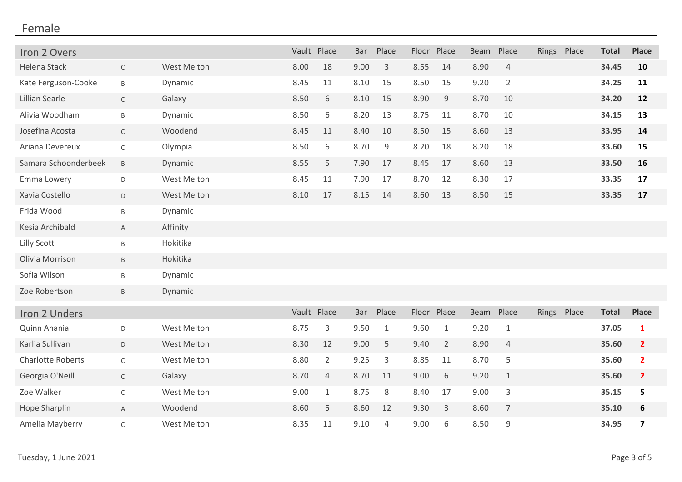| Iron 2 Overs             |              |                    |             | Vault Place    | <b>Bar</b> | Place          | Floor Place |                | <b>Beam</b> | Place          | Rings Place | <b>Total</b> | <b>Place</b>            |
|--------------------------|--------------|--------------------|-------------|----------------|------------|----------------|-------------|----------------|-------------|----------------|-------------|--------------|-------------------------|
| Helena Stack             | $\mathsf C$  | <b>West Melton</b> | 8.00        | 18             | 9.00       | 3              | 8.55        | 14             | 8.90        | $\overline{4}$ |             | 34.45        | 10                      |
| Kate Ferguson-Cooke      | $\sf B$      | Dynamic            | 8.45        | 11             | 8.10       | 15             | 8.50        | 15             | 9.20        | $\overline{2}$ |             | 34.25        | 11                      |
| Lillian Searle           | $\mathsf{C}$ | Galaxy             | 8.50        | 6              | 8.10       | 15             | 8.90        | 9              | 8.70        | 10             |             | 34.20        | 12                      |
| Alivia Woodham           | B            | Dynamic            | 8.50        | 6              | 8.20       | 13             | 8.75        | 11             | 8.70        | 10             |             | 34.15        | 13                      |
| Josefina Acosta          | $\mathsf{C}$ | Woodend            | 8.45        | 11             | 8.40       | 10             | 8.50        | 15             | 8.60        | 13             |             | 33.95        | 14                      |
| Ariana Devereux          | $\mathsf C$  | Olympia            | 8.50        | 6              | 8.70       | 9              | 8.20        | 18             | 8.20        | 18             |             | 33.60        | 15                      |
| Samara Schoonderbeek     | B            | Dynamic            | 8.55        | 5              | 7.90       | 17             | 8.45        | 17             | 8.60        | 13             |             | 33.50        | 16                      |
| Emma Lowery              | D            | <b>West Melton</b> | 8.45        | 11             | 7.90       | 17             | 8.70        | 12             | 8.30        | 17             |             | 33.35        | 17                      |
| Xavia Costello           | D            | <b>West Melton</b> | 8.10        | 17             | 8.15       | 14             | 8.60        | 13             | 8.50        | 15             |             | 33.35        | 17                      |
| Frida Wood               | $\sf B$      | Dynamic            |             |                |            |                |             |                |             |                |             |              |                         |
| Kesia Archibald          | $\mathsf{A}$ | Affinity           |             |                |            |                |             |                |             |                |             |              |                         |
| Lilly Scott              | Β            | Hokitika           |             |                |            |                |             |                |             |                |             |              |                         |
| Olivia Morrison          | B            | Hokitika           |             |                |            |                |             |                |             |                |             |              |                         |
| Sofia Wilson             | Β            | Dynamic            |             |                |            |                |             |                |             |                |             |              |                         |
| Zoe Robertson            | B            | Dynamic            |             |                |            |                |             |                |             |                |             |              |                         |
| Iron 2 Unders            |              |                    | Vault Place |                | <b>Bar</b> | Place          | Floor       | Place          | <b>Beam</b> | Place          | Rings Place | <b>Total</b> | <b>Place</b>            |
| Quinn Anania             | D            | <b>West Melton</b> | 8.75        | 3              | 9.50       | $\mathbf{1}$   | 9.60        | 1              | 9.20        | $\mathbf{1}$   |             | 37.05        | 1                       |
| Karlia Sullivan          | D            | <b>West Melton</b> | 8.30        | 12             | 9.00       | 5              | 9.40        | $\overline{2}$ | 8.90        | $\overline{4}$ |             | 35.60        | $\overline{2}$          |
| <b>Charlotte Roberts</b> | $\mathsf C$  | West Melton        | 8.80        | $\overline{2}$ | 9.25       | 3              | 8.85        | 11             | 8.70        | 5              |             | 35.60        | $\overline{2}$          |
| Georgia O'Neill          | $\mathsf C$  | Galaxy             | 8.70        | 4              | 8.70       | 11             | 9.00        | 6              | 9.20        | $\mathbf{1}$   |             | 35.60        | $\overline{2}$          |
| Zoe Walker               | C            | <b>West Melton</b> | 9.00        | $\mathbf{1}$   | 8.75       | 8              | 8.40        | 17             | 9.00        | 3              |             | 35.15        | 5                       |
| Hope Sharplin            | A            | Woodend            | 8.60        | 5              | 8.60       | 12             | 9.30        | 3              | 8.60        | $\overline{7}$ |             | 35.10        | 6                       |
| Amelia Mayberry          | $\mathsf C$  | <b>West Melton</b> | 8.35        | 11             | 9.10       | $\overline{4}$ | 9.00        | 6              | 8.50        | 9              |             | 34.95        | $\overline{\mathbf{z}}$ |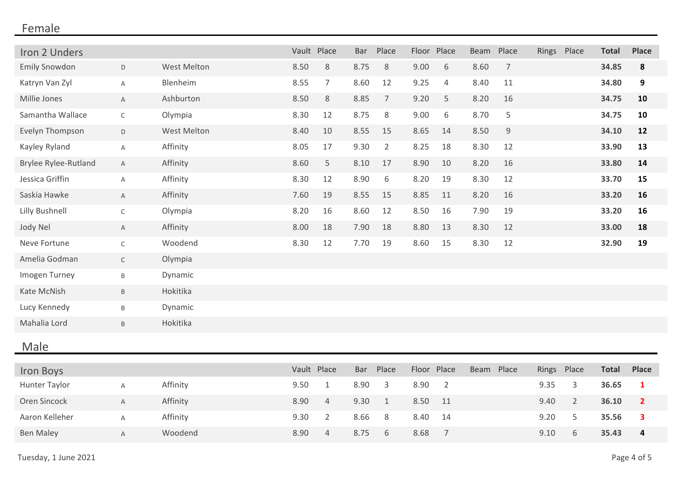| Iron 2 Unders               |              |                    | Vault Place |                | <b>Bar</b> | Place          | Floor | Place          | Beam | Place          |       | Rings Place    | <b>Total</b> | <b>Place</b>   |
|-----------------------------|--------------|--------------------|-------------|----------------|------------|----------------|-------|----------------|------|----------------|-------|----------------|--------------|----------------|
| <b>Emily Snowdon</b>        | D            | <b>West Melton</b> | 8.50        | 8              | 8.75       | 8              | 9.00  | 6              | 8.60 | $\overline{7}$ |       |                | 34.85        | 8              |
| Katryn Van Zyl              | Α            | Blenheim           | 8.55        | $\overline{7}$ | 8.60       | 12             | 9.25  | $\overline{4}$ | 8.40 | 11             |       |                | 34.80        | 9              |
| Millie Jones                | $\mathsf{A}$ | Ashburton          | 8.50        | 8              | 8.85       | $\overline{7}$ | 9.20  | 5              | 8.20 | 16             |       |                | 34.75        | 10             |
| Samantha Wallace            | $\mathsf{C}$ | Olympia            | 8.30        | 12             | 8.75       | 8              | 9.00  | 6              | 8.70 | 5              |       |                | 34.75        | 10             |
| Evelyn Thompson             | $\mathsf D$  | <b>West Melton</b> | 8.40        | 10             | 8.55       | 15             | 8.65  | 14             | 8.50 | 9              |       |                | 34.10        | 12             |
| Kayley Ryland               | A            | Affinity           | 8.05        | 17             | 9.30       | $\overline{2}$ | 8.25  | 18             | 8.30 | 12             |       |                | 33.90        | 13             |
| <b>Brylee Rylee-Rutland</b> | $\mathsf A$  | Affinity           | 8.60        | 5              | 8.10       | 17             | 8.90  | 10             | 8.20 | 16             |       |                | 33.80        | 14             |
| Jessica Griffin             | A            | Affinity           | 8.30        | 12             | 8.90       | 6              | 8.20  | 19             | 8.30 | 12             |       |                | 33.70        | 15             |
| Saskia Hawke                | $\mathsf{A}$ | Affinity           | 7.60        | 19             | 8.55       | 15             | 8.85  | 11             | 8.20 | 16             |       |                | 33.20        | 16             |
| Lilly Bushnell              | $\mathsf C$  | Olympia            | 8.20        | 16             | 8.60       | 12             | 8.50  | 16             | 7.90 | 19             |       |                | 33.20        | 16             |
| Jody Nel                    | $\mathsf{A}$ | Affinity           | 8.00        | 18             | 7.90       | 18             | 8.80  | 13             | 8.30 | 12             |       |                | 33.00        | 18             |
| Neve Fortune                | $\mathsf C$  | Woodend            | 8.30        | 12             | 7.70       | 19             | 8.60  | 15             | 8.30 | 12             |       |                | 32.90        | 19             |
| Amelia Godman               | $\mathsf C$  | Olympia            |             |                |            |                |       |                |      |                |       |                |              |                |
| Imogen Turney               | $\sf B$      | Dynamic            |             |                |            |                |       |                |      |                |       |                |              |                |
| Kate McNish                 | B            | Hokitika           |             |                |            |                |       |                |      |                |       |                |              |                |
| Lucy Kennedy                | B            | Dynamic            |             |                |            |                |       |                |      |                |       |                |              |                |
| Mahalia Lord                | B            | Hokitika           |             |                |            |                |       |                |      |                |       |                |              |                |
| Male                        |              |                    |             |                |            |                |       |                |      |                |       |                |              |                |
|                             |              |                    | Vault Place |                | <b>Bar</b> | Place          | Floor | Place          | Beam | Place          | Rings | Place          | <b>Total</b> | <b>Place</b>   |
| Iron Boys<br>Hunter Taylor  | Α            | Affinity           | 9.50        | $\mathbf{1}$   | 8.90       | 3              | 8.90  | $\overline{2}$ |      |                | 9.35  | 3              | 36.65        | $\mathbf{1}$   |
| Oren Sincock                |              | Affinity           | 8.90        | $\overline{4}$ | 9.30       | $\mathbf{1}$   | 8.50  | 11             |      |                | 9.40  | $\overline{2}$ | 36.10        | $\overline{2}$ |
|                             | $\mathsf{A}$ |                    |             |                |            |                |       |                |      |                |       |                |              |                |
| Aaron Kelleher              | Α            | Affinity           | 9.30        | $\overline{2}$ | 8.66       | 8              | 8.40  | 14             |      |                | 9.20  | 5              | 35.56        | 3              |
| <b>Ben Maley</b>            | A            | Woodend            | 8.90        | $\overline{4}$ | 8.75       | 6              | 8.68  | $\overline{7}$ |      |                | 9.10  | 6              | 35.43        | 4              |